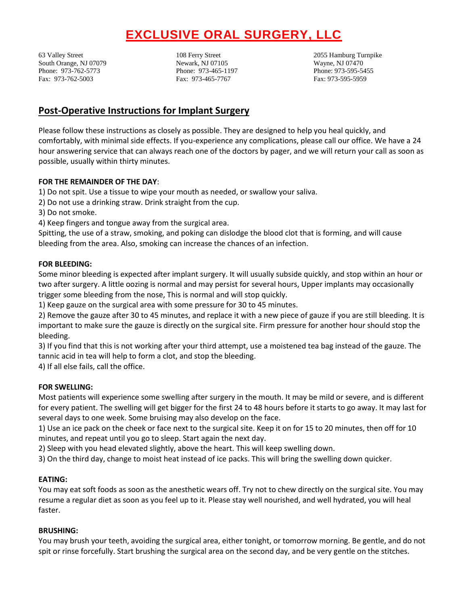# **EXCLUSIVE ORAL SURGERY, LLC**

63 Valley Street 108 Ferry Street 2055 Hamburg Turnpike South Orange, NJ 07079 Newark, NJ 07105 Wayne, NJ 07470 Phone: 973-762-5773 Phone: 973-465-1197 Phone: 973-595-5455 Fax: 973-762-5003 Fax: 973-465-7767 Fax: 973-595-5959

# **Post-Operative Instructions for Implant Surgery**

Please follow these instructions as closely as possible. They are designed to help you heal quickly, and comfortably, with minimal side effects. If you-experience any complications, please call our office. We have a 24 hour answering service that can always reach one of the doctors by pager, and we will return your call as soon as possible, usually within thirty minutes.

# **FOR THE REMAINDER OF THE DAY**:

1) Do not spit. Use a tissue to wipe your mouth as needed, or swallow your saliva.

2) Do not use a drinking straw. Drink straight from the cup.

3) Do not smoke.

4) Keep fingers and tongue away from the surgical area.

Spitting, the use of a straw, smoking, and poking can dislodge the blood clot that is forming, and will cause bleeding from the area. Also, smoking can increase the chances of an infection.

# **FOR BLEEDING:**

Some minor bleeding is expected after implant surgery. It will usually subside quickly, and stop within an hour or two after surgery. A little oozing is normal and may persist for several hours, Upper implants may occasionally trigger some bleeding from the nose, This is normal and will stop quickly.

1) Keep gauze on the surgical area with some pressure for 30 to 45 minutes.

2) Remove the gauze after 30 to 45 minutes, and replace it with a new piece of gauze if you are still bleeding. It is important to make sure the gauze is directly on the surgical site. Firm pressure for another hour should stop the bleeding.

3) If you find that this is not working after your third attempt, use a moistened tea bag instead of the gauze. The tannic acid in tea will help to form a clot, and stop the bleeding.

4) If all else fails, call the office.

#### **FOR SWELLING:**

Most patients will experience some swelling after surgery in the mouth. It may be mild or severe, and is different for every patient. The swelling will get bigger for the first 24 to 48 hours before it starts to go away. It may last for several days to one week. Some bruising may also develop on the face.

1) Use an ice pack on the cheek or face next to the surgical site. Keep it on for 15 to 20 minutes, then off for 10 minutes, and repeat until you go to sleep. Start again the next day.

2) Sleep with you head elevated slightly, above the heart. This will keep swelling down.

3) On the third day, change to moist heat instead of ice packs. This will bring the swelling down quicker.

#### **EATING:**

You may eat soft foods as soon as the anesthetic wears off. Try not to chew directly on the surgical site. You may resume a regular diet as soon as you feel up to it. Please stay well nourished, and well hydrated, you will heal faster.

#### **BRUSHING:**

You may brush your teeth, avoiding the surgical area, either tonight, or tomorrow morning. Be gentle, and do not spit or rinse forcefully. Start brushing the surgical area on the second day, and be very gentle on the stitches.